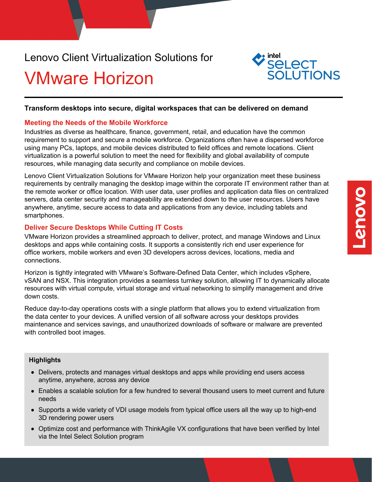### Lenovo Client Virtualization Solutions for

## VMware Horizon



#### **Transform desktops into secure, digital workspaces that can be delivered on demand**

#### **Meeting the Needs of the Mobile Workforce**

Industries as diverse as healthcare, finance, government, retail, and education have the common requirement to support and secure a mobile workforce. Organizations often have a dispersed workforce using many PCs, laptops, and mobile devices distributed to field offices and remote locations. Client virtualization is a powerful solution to meet the need for flexibility and global availability of compute resources, while managing data security and compliance on mobile devices.

Lenovo Client Virtualization Solutions for VMware Horizon help your organization meet these business requirements by centrally managing the desktop image within the corporate IT environment rather than at the remote worker or office location. With user data, user profiles and application data files on centralized servers, data center security and manageability are extended down to the user resources. Users have anywhere, anytime, secure access to data and applications from any device, including tablets and smartphones.

#### **Deliver Secure Desktops While Cutting IT Costs**

VMware Horizon provides a streamlined approach to deliver, protect, and manage Windows and Linux desktops and apps while containing costs. It supports a consistently rich end user experience for office workers, mobile workers and even 3D developers across devices, locations, media and connections.

Horizon is tightly integrated with VMware's Software-Defined Data Center, which includes vSphere, vSAN and NSX. This integration provides a seamless turnkey solution, allowing IT to dynamically allocate resources with virtual compute, virtual storage and virtual networking to simplify management and drive down costs.

Reduce day-to-day operations costs with a single platform that allows you to extend virtualization from the data center to your devices. A unified version of all software across your desktops provides maintenance and services savings, and unauthorized downloads of software or malware are prevented with controlled boot images.

#### **Highlights**

- Delivers, protects and manages virtual desktops and apps while providing end users access anytime, anywhere, across any device
- Enables a scalable solution for a few hundred to several thousand users to meet current and future needs
- Supports a wide variety of VDI usage models from typical office users all the way up to high-end 3D rendering power users
- Optimize cost and performance with ThinkAgile VX configurations that have been verified by Intel via the Intel Select Solution program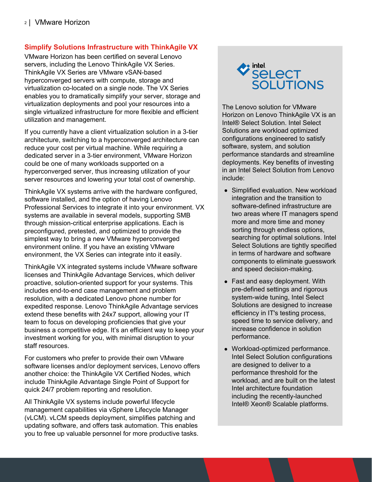#### **Simplify Solutions Infrastructure with ThinkAgile VX**

VMware Horizon has been certified on several Lenovo servers, including the Lenovo ThinkAgile VX Series. ThinkAgile VX Series are VMware vSAN-based hyperconverged servers with compute, storage and virtualization co-located on a single node. The VX Series enables you to dramatically simplify your server, storage and virtualization deployments and pool your resources into a single virtualized infrastructure for more flexible and efficient utilization and management.

If you currently have a client virtualization solution in a 3-tier architecture, switching to a hyperconverged architecture can reduce your cost per virtual machine. While requiring a dedicated server in a 3-tier environment, VMware Horizon could be one of many workloads supported on a hyperconverged server, thus increasing utilization of your server resources and lowering your total cost of ownership.

ThinkAgile VX systems arrive with the hardware configured, software installed, and the option of having Lenovo Professional Services to integrate it into your environment. VX systems are available in several models, supporting SMB through mission-critical enterprise applications. Each is preconfigured, pretested, and optimized to provide the simplest way to bring a new VMware hyperconverged environment online. If you have an existing VMware environment, the VX Series can integrate into it easily.

ThinkAgile VX integrated systems include VMware software licenses and ThinkAgile Advantage Services, which deliver proactive, solution-oriented support for your systems. This includes end-to-end case management and problem resolution, with a dedicated Lenovo phone number for expedited response. Lenovo ThinkAgile Advantage services extend these benefits with 24x7 support, allowing your IT team to focus on developing proficiencies that give your business a competitive edge. It's an efficient way to keep your investment working for you, with minimal disruption to your staff resources.

For customers who prefer to provide their own VMware software licenses and/or deployment services, Lenovo offers another choice: the ThinkAgile VX Certified Nodes, which include ThinkAgile Advantage Single Point of Support for quick 24/7 problem reporting and resolution.

All ThinkAgile VX systems include powerful lifecycle management capabilities via vSphere Lifecycle Manager (vLCM). vLCM speeds deployment, simplifies patching and updating software, and offers task automation. This enables you to free up valuable personnel for more productive tasks.



The Lenovo solution for VMware Horizon on Lenovo ThinkAgile VX is an Intel® Select Solution. Intel Select Solutions are workload optimized configurations engineered to satisfy software, system, and solution performance standards and streamline deployments. Key benefits of investing in an Intel Select Solution from Lenovo include:

- Simplified evaluation. New workload integration and the transition to software-defined infrastructure are two areas where IT managers spend more and more time and money sorting through endless options, searching for optimal solutions. Intel Select Solutions are tightly specified in terms of hardware and software components to eliminate guesswork and speed decision-making.
- Fast and easy deployment. With pre-defined settings and rigorous system-wide tuning, Intel Select Solutions are designed to increase efficiency in IT's testing process, speed time to service delivery, and increase confidence in solution performance.
- Workload-optimized performance. Intel Select Solution configurations are designed to deliver to a performance threshold for the workload, and are built on the latest Intel architecture foundation including the recently-launched Intel® Xeon® Scalable platforms.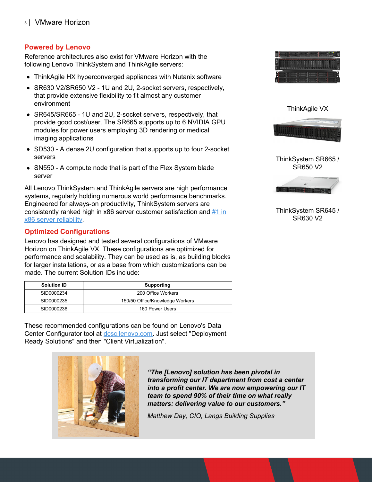#### **Powered by Lenovo**

Reference architectures also exist for VMware Horizon with the following Lenovo ThinkSystem and ThinkAgile servers:

- ThinkAgile HX hyperconverged appliances with Nutanix software
- SR630 V2/SR650 V2 1U and 2U, 2-socket servers, respectively, that provide extensive flexibility to fit almost any customer environment
- SR645/SR665 1U and 2U, 2-socket servers, respectively, that provide good cost/user. The SR665 supports up to 6 NVIDIA GPU modules for power users employing 3D rendering or medical imaging applications
- SD530 A dense 2U configuration that supports up to four 2-socket servers
- SN550 A compute node that is part of the Flex System blade server

All Lenovo ThinkSystem and ThinkAgile servers are high performance systems, regularly holding numerous world performance benchmarks. Engineered for always-on productivity, ThinkSystem servers are [consistently](https://lenovopress.com/lp1117-itic-reliability-study) ranked high in x86 server customer satisfaction and  $#1$  in x86 server reliability.

#### **Optimized Configurations**

Lenovo has designed and tested several configurations of VMware Horizon on ThinkAgile VX. These configurations are optimized for performance and scalability. They can be used as is, as building blocks for larger installations, or as a base from which customizations can be made. The current Solution IDs include:

| <b>Solution ID</b> | Supporting                      |
|--------------------|---------------------------------|
| SID0000234         | 200 Office Workers              |
| SID0000235         | 150/50 Office/Knowledge Workers |
| SID0000236         | 160 Power Users                 |

These recommended configurations can be found on Lenovo's Data Center Configurator tool at [dcsc.lenovo.com](http://dcsc.lenovo.com). Just select "Deployment Ready Solutions" and then "Client Virtualization".



*"The [Lenovo] solution has been pivotal in transforming our IT department from cost a center into a profit center. We are now empowering our IT team to spend 90% of their time on what really matters: delivering value to our customers."*

*Matthew Day, CIO, Langs Building Supplies*





ThinkSystem SR665 / SR650 V2



ThinkSystem SR645 / SR630 V2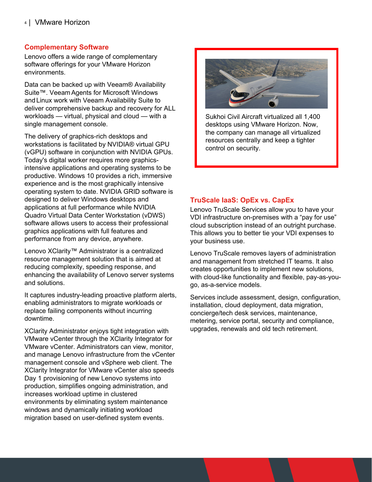#### **Complementary Software**

Lenovo offers a wide range of complementary software offerings for your VMware Horizon environments.

Data can be backed up with Veeam® Availability Suite™. Veeam Agents for Microsoft Windows and Linux work with Veeam Availability Suite to deliver comprehensive backup and recovery for ALL workloads — virtual, physical and cloud — with a single management console.

The delivery of graphics-rich desktops and workstations is facilitated by NVIDIA® virtual GPU (vGPU) software in conjunction with NVIDIA GPUs. Today's digital worker requires more graphicsintensive applications and operating systems to be productive. Windows 10 provides a rich, immersive experience and is the most graphically intensive operating system to date. NVIDIA GRID software is designed to deliver Windows desktops and applications at full performance while NVIDIA Quadro Virtual Data Center Workstation (vDWS) software allows users to access their professional graphics applications with full features and performance from any device, anywhere.

Lenovo XClarity™ Administrator is a centralized resource management solution that is aimed at reducing complexity, speeding response, and enhancing the availability of Lenovo server systems and solutions.

It captures industry-leading proactive platform alerts, enabling administrators to migrate workloads or replace failing components without incurring downtime.

XClarity Administrator enjoys tight integration with VMware vCenter through the XClarity Integrator for VMware vCenter. Administrators can view, monitor, and manage Lenovo infrastructure from the vCenter management console and vSphere web client. The XClarity Integrator for VMware vCenter also speeds Day 1 provisioning of new Lenovo systems into production, simplifies ongoing administration, and increases workload uptime in clustered environments by eliminating system maintenance windows and dynamically initiating workload migration based on user-defined system events.



Sukhoi Civil Aircraft virtualized all 1,400 desktops using VMware Horizon. Now, the company can manage all virtualized resources centrally and keep a tighter control on security.

#### **TruScale IaaS: OpEx vs. CapEx**

Lenovo TruScale Services allow you to have your VDI infrastructure on-premises with a "pay for use" cloud subscription instead of an outright purchase. This allows you to better tie your VDI expenses to your business use.

Lenovo TruScale removes layers of administration and management from stretched IT teams. It also creates opportunities to implement new solutions, with cloud-like functionality and flexible, pay-as-yougo, as-a-service models.

Services include assessment, design, configuration, installation, cloud deployment, data migration, concierge/tech desk services, maintenance, metering, service portal, security and compliance, upgrades, renewals and old tech retirement.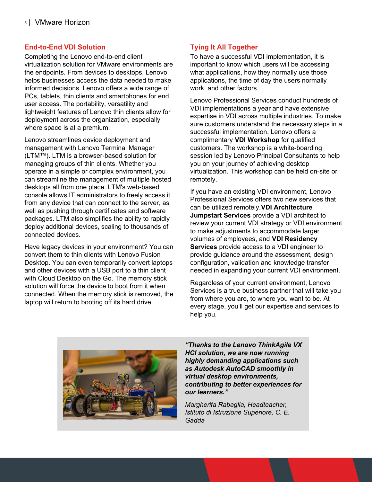#### **End-to-End VDI Solution**

Completing the Lenovo end-to-end client virtualization solution for VMware environments are the endpoints. From devices to desktops, Lenovo helps businesses access the data needed to make informed decisions. Lenovo offers a wide range of PCs, tablets, thin clients and smartphones for end user access. The portability, versatility and lightweight features of Lenovo thin clients allow for deployment across the organization, especially where space is at a premium.

Lenovo streamlines device deployment and management with Lenovo Terminal Manager (LTM™). LTM is a browser-based solution for managing groups of thin clients. Whether you operate in a simple or complex environment, you can streamline the management of multiple hosted desktops all from one place. LTM's web-based console allows IT administrators to freely access it from any device that can connect to the server, as well as pushing through certificates and software packages. LTM also simplifies the ability to rapidly deploy additional devices, scaling to thousands of connected devices.

Have legacy devices in your environment? You can convert them to thin clients with Lenovo Fusion Desktop. You can even temporarily convert laptops and other devices with a USB port to a thin client with Cloud Desktop on the Go. The memory stick solution will force the device to boot from it when connected. When the memory stick is removed, the laptop will return to booting off its hard drive.

#### **Tying It All Together**

To have a successful VDI implementation, it is important to know which users will be accessing what applications, how they normally use those applications, the time of day the users normally work, and other factors.

Lenovo Professional Services conduct hundreds of VDI implementations a year and have extensive expertise in VDI across multiple industries. To make sure customers understand the necessary steps in a successful implementation, Lenovo offers a complimentary **VDI Workshop** for qualified customers. The workshop is a white-boarding session led by Lenovo Principal Consultants to help you on your journey of achieving desktop virtualization. This workshop can be held on-site or remotely.

If you have an existing VDI environment, Lenovo Professional Services offers two new services that can be utilized remotely.**VDI Architecture Jumpstart Services** provide a VDI architect to review your current VDI strategy or VDI environment to make adjustments to accommodate larger volumes of employees, and **VDI Residency Services** provide access to a VDI engineer to provide guidance around the assessment, design configuration, validation and knowledge transfer needed in expanding your current VDI environment.

Regardless of your current environment, Lenovo Services is a true business partner that will take you from where you are, to where you want to be. At every stage, you'll get our expertise and services to help you.



*"Thanks to the Lenovo ThinkAgile VX HCI solution, we are now running highly demanding applications such as Autodesk AutoCAD smoothly in virtual desktop environments, contributing to better experiences for our learners."*

*Margherita Rabaglia, Headteacher, Istituto di Istruzione Superiore, C. E. Gadda*